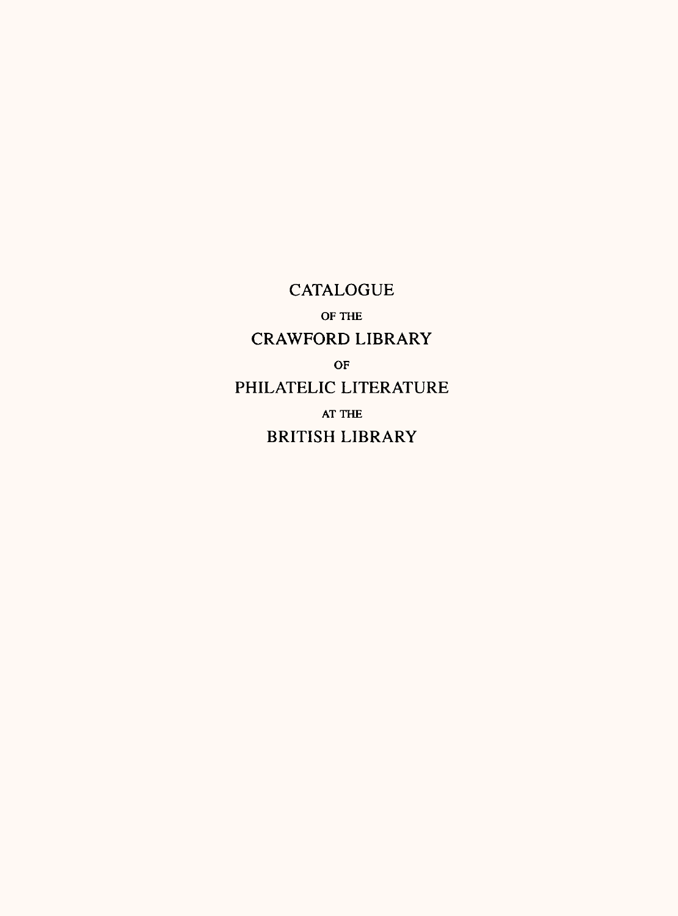CATALOGUE OF THE CRAWFORD LIBRARY OF PHILATELIC LITERATURE AT THE BRITISH LIBRARY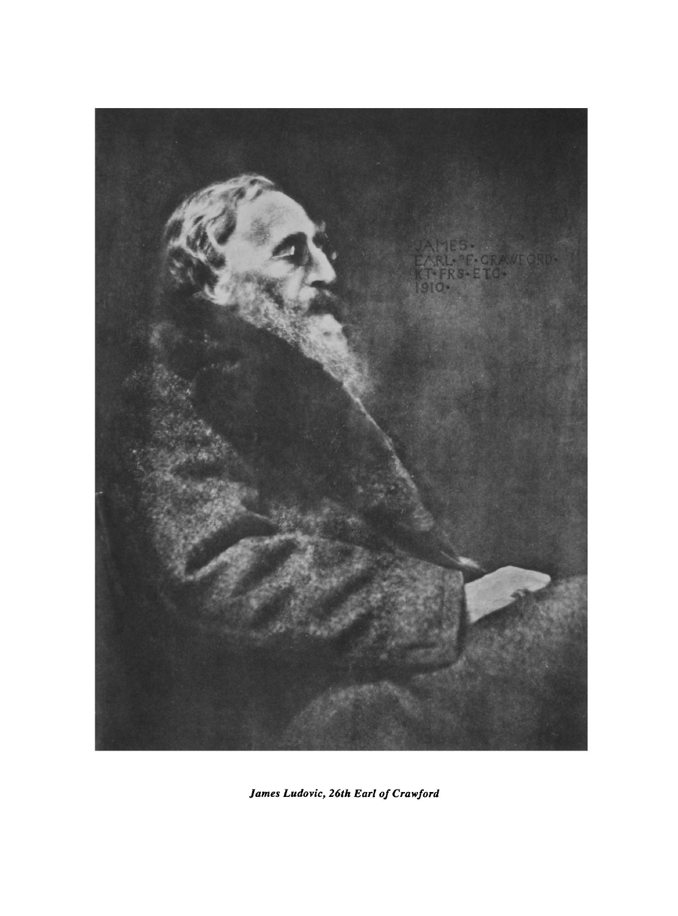

*James Ludovic, 26th Earl of Crawford*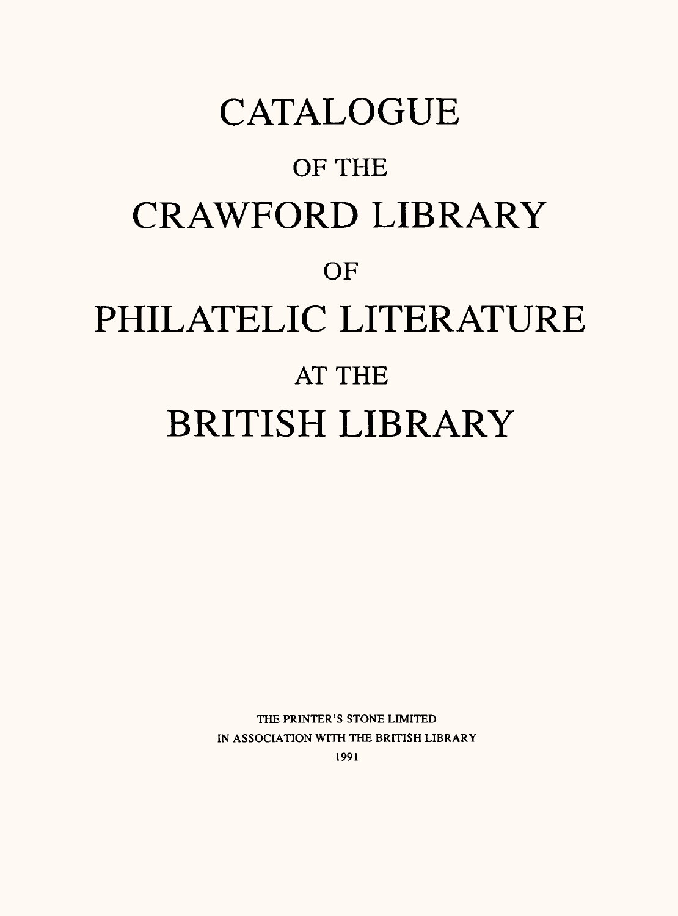# **CATALOGUE** OF THE CRAWFORD LIBRARY **OF** PHILATELIC LITERATURE AT THE BRITISH LIBRARY

THE PRINTER'S STONE LIMITED IN ASSOCIATION WITH THE BRITISH LIBRARY 1991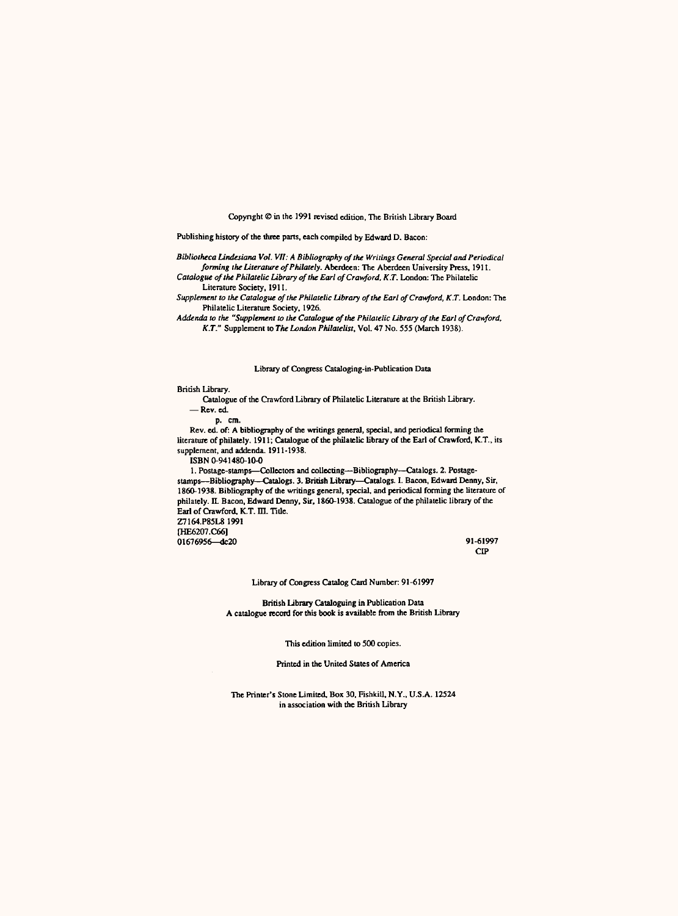Copyright © in the 1991 revised edition, The British Library Board

Publishing history of the three parts, each compiled by Edward D. Bacon:

*Bibliotheca Lindesiana Vol. VII: A Bibliography of the Writings General Special and Periodical forming the Literature of Philately.* Aberdeen: The Aberdeen University Press, 1911. *Catalogue of the Philatelic Library of the Earl ofCrawford, K.T.* London: The Philatelic

Literature Society. 1911. *Supplement to the Catalogue of the Philatelic Library of the Earl ofCrawford, K.T.* London: The

Philatelic Literature Society, 1926.

*Addenda to the "Supplement to the Catalogue of the Philatelic Library of the Earl ofCrawford, K.T."* Supplement to *The London Philatelist,* Vol. 47 No. 555 (March 1938).

#### Library of Congress Cataloging-in-Publication Data

British Library.

Catalogue of the Crawford Library of Philatelic Literature at the British Library. Rev. ed.

p. cm.

Rev. ed. of: A bibliography of the writings general, special, and periodical forming the literature of philately. 1911; Catalogue of the philatelic library of the Earl of Crawford, K.T., its supplement, and addenda. 1911-1938.

ISBN 0-941480-10-0

1. Postage-stamps—Collectors and collecting—Bibliography—Catalogs. 2. Postage-<br>stamps—Bibliography—Catalogs. 3. British Library—Catalogs. I. Bacon, Edward Denny, Sir, 1860-1938. Bibliography of the writings general, special, and periodical forming the literature of philately. II. Bacon, Edward Denny, Sir, 1860-1938. Catalogue of the philatelic library of the Earl of Crawford. K.T. ffl. Title. Z7164.P85L8 1991

[HE6207.C66] 01676956—dc20 91-61997

CIP

Library of Congress Catalog Card Number: 91-61997

British Library Cataloguing in Publication Data A catalogue record for this book is available from the British Library

This edition limited to 500 copies.

Printed in the United States of Amer

The Printer's Stone Limited, Box 30, Fishkill, N.Y., U.S.A. 12524 in association with the British Library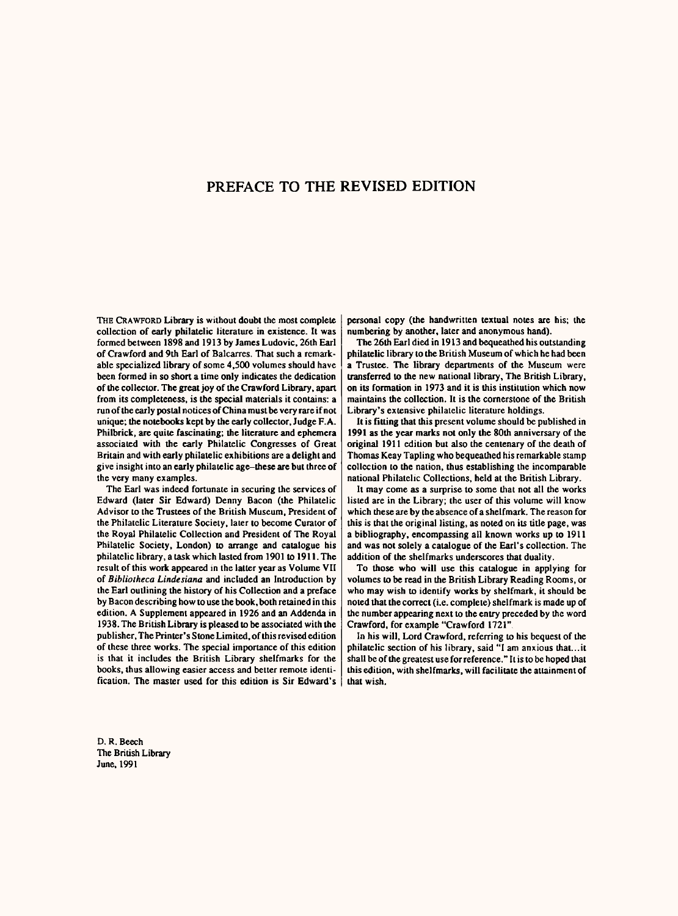### PREFACE TO THE REVISED EDITION

THE CRAWFORD Library is without doubt the most complete collection of early philatelic literature in existence. It was formed between 1898 and 1913 by James Ludovic, 26th Earl of Crawford and 9th Earl of Balcarres. That such a remarkable specialized library of some 4,500 volumes should have been formed in so short a time only indicates the dedication of the collector. The great joy of the Crawford Library, apart from its completeness, is the special materials it contains: <sup>a</sup> run of the early postal notices of China must be very rare if not unique; the notebooks kept by the early collector. Judge F. A. Philbrick, are quite fascinating; the literature and ephemera associated with the early Philatelic Congresses of Great Britain and with early philatelic exhibitions are a delight and give insight into an early philatelic age-these are but three of the very many examples.

The Earl was indeed fortunate in securing the services of Edward (later Sir Edward) Denny Bacon (the Philatelic Advisor to the Trustees of the British Museum, President of the Philatelic Literature Society, later to become Curator of the Royal Philatelic Collection and President of The Royal Philatelic Society, London) to arrange and catalogue his philatelic library, a task which lasted from 1901 to 1911. The result of this work appeared in the latter year as Volume VII of *Bibliolheca Lindesiana* and included an Introduction by the Earl outlining the history of his Collection and a *preface*  by Bacon describing how to use the book, both retained in this edition. A Supplement appeared in 1926 and an Addenda in 1938. The British Library is pleased to be associated with the publisher, The Printer's Stone Limited, of this revised edition of these three works. The special importance of this edition is that it includes the British Library shelfmarks for the books, thus allowing easier access and better remote identification. The master used for this edition is Sir Edward's

D. R. Beech The British Library June, 1991

personal copy (the handwritten textual notes are his; the numbering by another, later and anonymous hand).

The 26th Earl died in 1913 and bequeathed his outstanding philatelic library to the British Museum of which he had been <sup>a</sup>Trustee. The library departments of the Museum were transferred to the new national library, The British Library, on its formation in 1973 and it is this institution which now maintains the collection. It is the cornerstone of the British Library's extensive philatelic literature holdings.

It is fitting that this present volume should be published in 1991 as the year marks not only the 80th anniversary of the original 1911 edition but also the centenary of the death of Thomas Keay Tapling who bequeathed his remarkable stamp collection to the nation, thus establishing the incomparable national Philatelic Collections, held at the British Library.

It may come as a surprise to some that not all the works listed are in the Library; the user of this volume will know which these are by the absence of a shelfmark. The reason for this is that the original listing, as noted on its title page, was <sup>a</sup>bibliography, encompassing all known works up to 1911 and was not solely a catalogue of the Earl's collection. The addition of the shelfmarks underscores that duality.

To those who will use this catalogue in applying for volumes to be read in the British Library Reading Rooms, or who may wish to identify works by shelfmark, it should be noted that the correct (i.e. complete) shelfmark is made up of the number appearing next to the entry preceded by the word Crawford, for example "Crawford 1721"

In his will. Lord Crawford, referring to his bequest of the philatelic section of his library, said "I am anxious that...it shall be of the greatest use for reference." It is to be hoped that this edition, with shelfmarks, will facilitate the attainment of that wish.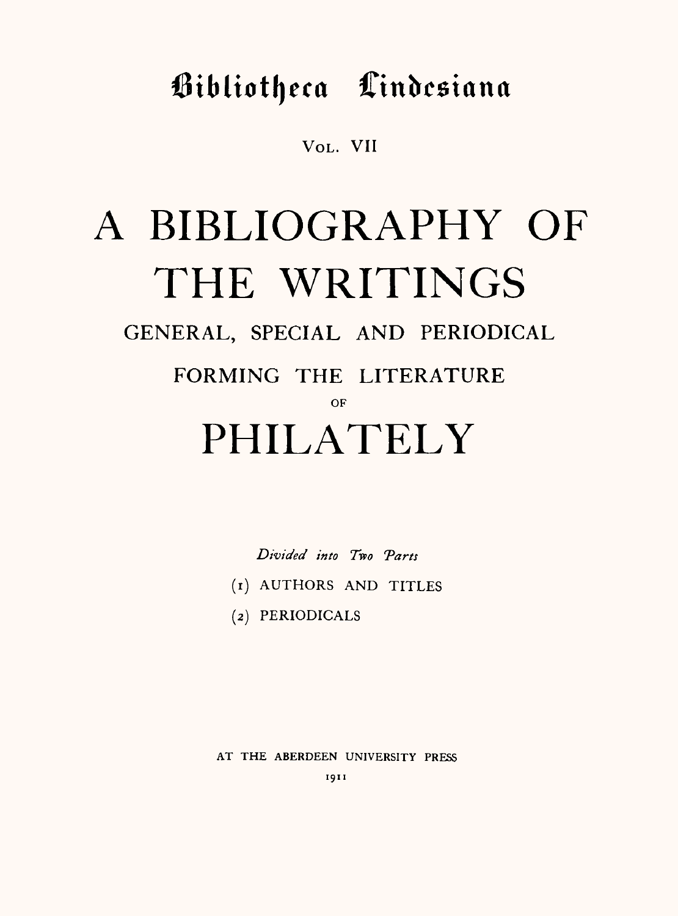Bibliotheca Cindesiana

VOL. VII

# A BIBLIOGRAPHY OF THE WRITINGS

GENERAL, SPECIAL AND PERIODICAL

FORMING THE LITERATURE

OF

## PHILATELY

*Divided into Two Tares*

- (1) AUTHORS AND TITLES
- (2) PERIODICALS

AT THE ABERDEEN UNIVERSITY PRESS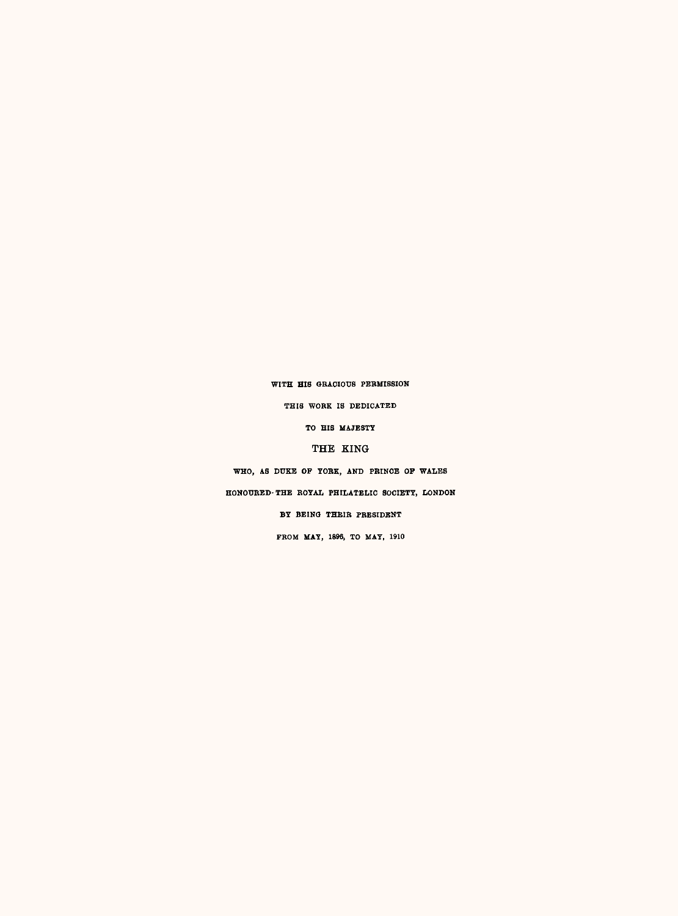#### WITH HIS GRACIOUS PERMISSION

THIS WOBK IS DEDICATED

TO HIS MAJESTY

#### THE KING

WHO, AS DUKE OP YOKE, AND PRINCE OP WALES

HONOURED-THE KOYAL PHILATELIC SOCIETY, LONDON

BY BEINQ THEIR PRESIDENT

FBOM MAY, 1896, TO MAY, 1910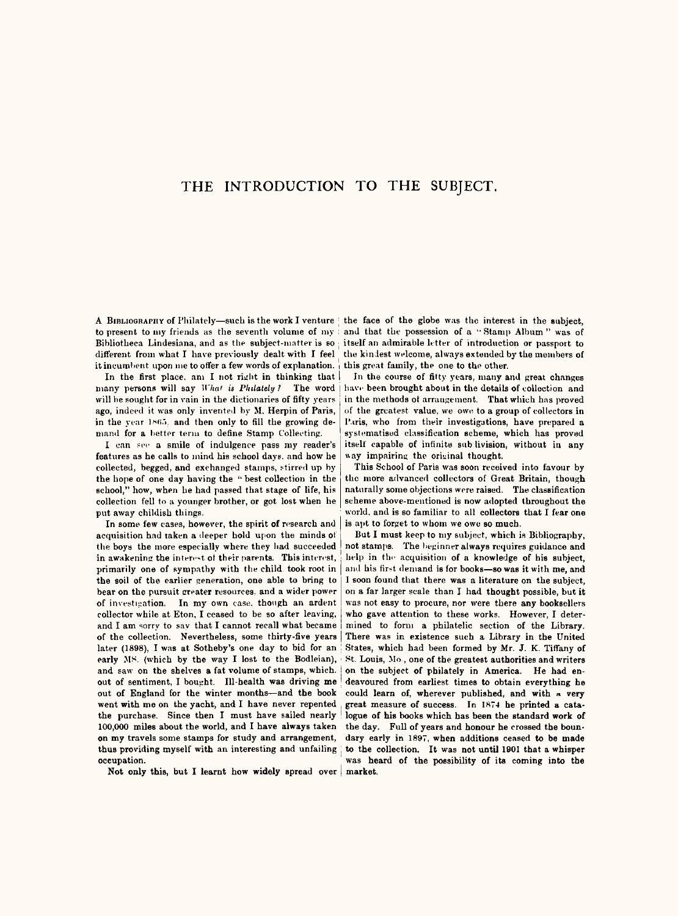### THE INTRODUCTION TO THE SUBJECT.

A BIBLIOGRAPNY of Philately—such is the work I venture ; the face of the globe was the interest in the subject, to present to my friends as the seventh volume of my and that the possession of a "Stamp Album" was of to present to my friends as the seventh volume of my isoliotheca Lindesiana, and as the subject-matter is so different from what I have previously dealt with I feel the kindest welcome, always extended by the members of<br>it incumbent upon me to offer a few words of explanation. I this great family, the one to the other.

In the first place, am I not right in thinking that  $p_{\text{I}}$  is  $p_{\text{I}}$  in the course of  $q_{\text{I}}$  is  $q_{\text{I}}$  is  $p_{\text{I}}$  in the course of  $q_{\text{I}}$  is  $p_{\text{I}}$  is  $q_{\text{I}}$  is  $q_{\text{I}}$  is  $q_{\text{I}}$  is  $q_{\text{I}}$  i many persons will say *What is Philately ?* The word j have been brought about in the details of collection and ago, indeed it was only invented by M. Herpin of Paris, in the year 1865, and then only to fill the growing demand for a better term to define Stamp Collecting.

I can see a smile of indulgence pass my reader's features as he calls to mind his school days, and how he collected, begged, and exchanged stamps, stirred up by the hope of one day having the " best collection in the school," how, when he had passed that stage of life, his collection fell to <sup>a</sup>younger brother, or got lost when he put away childish things.<br>In some few cases, however, the spirit of research and

primarily one of sympathy with the child took root in  $|$  and his first demand is for books—so was it with me, and the soliect. the soil of the earlier generation, one able to bring to bear on the pursuit creater resources, and a wider power of investigation. In my own case, though an ardent collector while at Eton, I ceased to be so aft. acquisition had taken a deeper hold upon the minds ot the boys the more especially where they bad succeeded in awakening the intere-t ot their parents. This interest, and I am sorry to say that I cannot recall what became of the collection. Nevertheless, some thirty-five years later (1898), I was at Sotheby's one day to bid for an early MS. (which by the way I lost to the Bodleian), early MS. (which by the way I lost to the Bodleian), St. Louis, Mo., one of the greatest authorities and writers and say on the shelves a fat volume of stamps, which  $\frac{1}{2}$  on the subject of philately in America. He had and saw on the shelves a fat volume of stamps, which.  $\vert$  on the subject of philately in America. He had en-<br>out of sentiment. I bought. Ill-health was driving me deavoured from earliest times to obtain everything he out of England for the winter months—and the book could learn of, wherever published, and with  $\alpha$  very went with me on the vacht, and I have never repented, great measure of success. In 1874 he printed a catawent with me on the yacht, and I have never repented great measure of success. In 1874 he printed a cata-<br>the purchase. Since then I must have sailed nearly logue of his books which has been the standard work of 100,000 miles about the world, and I have always taken the day. Full of years and honour he crossed the bounon my travels some stamps for study and arrangement, dary early in 1897, when additions ceased to be made<br>thus providing myself with an interesting and unfailing to the collection. It was not until 1901 that a whisper thus providing myself with an interesting and unfailing ; occupation.

Not only this, but I learnt how widely spread over market.

itself an admirable letter of introduction or passport to the kindest welcome, always extended by the members of it incumbent upon me to offer a few words of explanation. this great family, the one to the other.<br>In the first place, am I not right in thinking that In the course of fitty years, many and great changes

in the methods of arrangement. That which has proved of the greatest value, we owe to a group of collectors in l'uris, who from their investigutions, have prepared a systematised classification scheme, which has proved itself capable of infinite sub-livision, without in any way impairing the original thought.

This School of Paris was soon received into favour by the more advanced collectors of Great Britain, though naturally some objections were raised. The classification scheme above-mentioned is now adopted throughout the world, and is so familiar to all collec**tors that I f**ear one

But I must keep to my subject, which is Bibliography, help in the acquisition of a knowledge of his subject, not stamps. The beginner always requires guidance and on a far larger scale than I had thought possible, but it was not easy to procure, nor were there any booksellers who gave attention to these works. However, I determined to form <sup>a</sup>philatelic section of the Library. There was in existence such a Library in the United States, which had been formed by Mr. J. K. Tiffany of deavoured from earliest times to obtain everything he logue of his books which has been the standard work of was heard of the possibility of its coming into the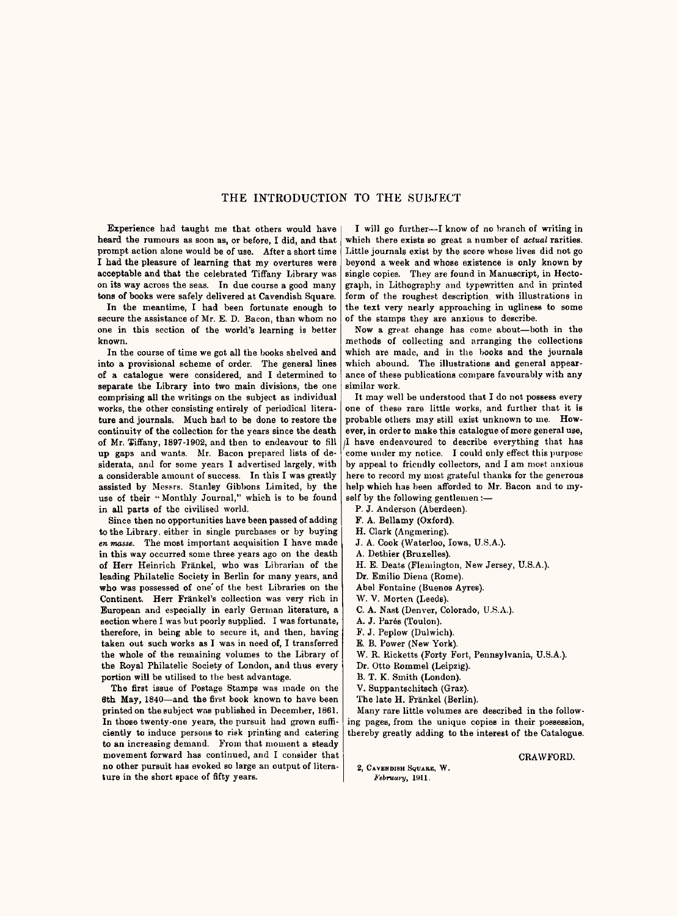#### THE INTRODUCTION TO THE SUBJECT

Experience had taught me that others would have heard the rumours as soon as, or before, I did, and that prompt action alone would be of use. After a short time I had the pleasure of learning that my overtures were acceptable and that the celebrated Tiffany Library was<br>on its way across the seas. In due course a good many tons of books were safely delivered at Cavendish Square.

In the meantime, I had been fortunate enough to secure the assistance of Mr. E. D. Bacon, than whom no one in this section of the world's learning is better known.

In the course of time we got all the books shelved and into a provisional scheme of order. The general lines of a catalogue were considered, and I determined to separate the Library into two main divisions, the one comprising all the writings on the subject as individual works, the other consisting entirely of periodical literature and journals. Much had to be done to restore the continuity of the collection for the years since the death of Mr. Tiffany, 1897-1902, and then to endeavour to fill up gaps and wants. Mr. Bacon prepared lists of desiderata, and for some years I advertised largely, with a considerable amount of success. In this I was greatly assisted by Messrs. Stanley Gibbons Limited, by the use of their ' Monthly Journal," which is to be found in all parts of the civilised world.

Since then no opportunities have been passed of adding to the Library, either in single purchases or by buying *en masse.* The most important acquisition I have made in this way occurred some three years ago on the death of Herr Heinrich Frankel, who was Librarian of the leading Philatelic Society in Berlin for many years, and who was possessed of one' of the best Libraries on the Continent. Herr Frankel's collection was very rich in European and especially in early German literature, <sup>a</sup> section where I was but poorly supplied. I was fortunate, therefore, in being able to secure it, and then, having taken out such works as I was in need of, I transferred the whole of the remaining volumes to the Library of the Royal Philatelic Society of London, and thus every portion will be utilised to the best advantage.

The first issue of Postage Stamps was made on the 6th May, 1840-and the first book known to have been printed on the subject was published in December, 1861. In those twenty-one years, the pursuit had grown sufficiently to induce persons to risk printing and catering to an increasing demand. From that moment a steady movement forward has continued, and I consider that no other pursuit has evoked so large an output of literature in the short space of fifty years.

I will go further-I know of no branch of writing in which there exists so great a number of *actual* rarities. Little journals exist by the score whose lives did not go beyond a week and whose existence is only known by single copies. They are found in Manuscript, in Hectograph, in Lithography and typewritten and in printed form of the roughest description with illustrations in the text very nearly approaching in ugliness to some of the stamps they are anxious to describe.<br>Now a great change has come about—both in the

methods of collecting and arranging the collections which are made, and in the books and the journals which abound. The illustrations and general appearance of these publications compare favourably with any similar work.

It may well be understood that I do not possess every one of these rare little works, and further that it is probable others may still exist unknown to me. However, in order to make this catalogue of more general use, (I have endeavoured to describe everything that has come under my notice. I could only effect this purpose by appeal to friendly collectors, and I am meet anxious here to record my most grateful thanks for the generous help which has been afforded to Mr. Bacon and to myself by the following gentlemen :-

P. J. Anderson (Aberdeen).

F. A. Bellamy (Oxford).

H. Clark (Angmering).

J. A. Cook (Waterloo, Iowa, U.S.A.).

A. Dethier (Bruxelles).

H. E. Beats (Flemington, New Jersey, U.S.A.). Dr. Emilio Diena (Rome).

Abel Fontaine (Buenos Ayres).

W. V. Morten (Leeds).

- 
- C. A. Nast (Denver, Colorado, U.S.A.).

A. J. Pares (Toulon).

F. J. Peplow (Dulwich).

E. B. Power (New York).

W. R. Ricketts (Forty Fort, Pennsylvania, U.S.A.).

Dr. Otto Rommel (Leipzig).

B. T. K. Smith (London).

V. Suppantschitsch (Graz).

The late H. Frankel (Berlin).

Many rare little volumes are described in the followthereby greatly adding to the interest of the Catalogue.

#### CRAWFORD.

2, CAVENDISH SQUARE, W. *February,* 1911.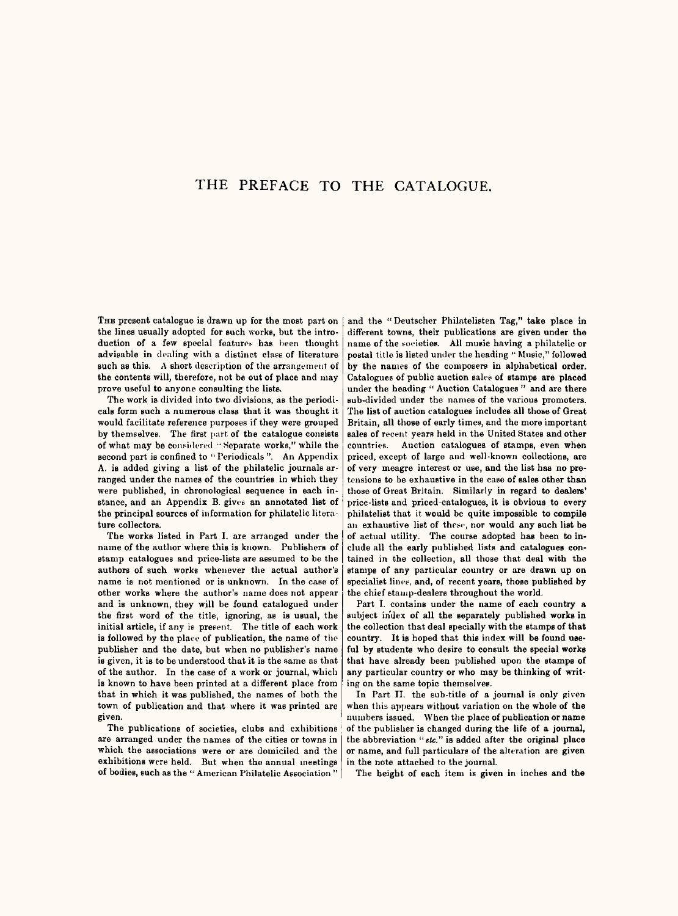#### THE PREFACE TO THE CATALOGUE.

THE present catalogue is drawn up for the most part on the lines usually adopted for such works, but the introduction of a few special features has been thought advisable in dealing with a distinct class of literature such as this. A short description of the arrangement of the contents will, therefore, not be out of place and may prove useful to anyone consulting the lists.

The work is divided into two divisions, as the periodicals form such a numerous class that it was thought it would facilitate reference purposes if they were grouped by themselves. The first part of the catalogue consists of what may be considered "Separate works," while the second part is confined to " Periodicals". An Appendix A. is added giving a list of the philatelic journals arranged under the names of the countries in which they were published, in chronological sequence in each instance, and an Appendix B. givey an annotated list of the principal sources of information for philatelic literature collectors.

The works listed in Part I. are arranged under the name of the author where this is known. Publishers of stamp catalogues and price-lists are assumed to be the authors of such works whenever the actual author's name is not mentioned or is unknown. In the case of other works where the author's name does not appear and is unknown, they will be found catalogued under the first word of the title, ignoring, as is usual, the initial article, if any is present. The title of each work is followed by the place of publication, the name of the publisher and the date, but when no publisher's name is given, it is to be understood that it is the same as that of the author. In the case of a work or journal, which is known to have been printed at a different place from that in which it was published, the names of both the town of publication and that where it was printed are

The publications of societies, clubs and exhibitions are arranged under the names of the cities or towns in which the associations were or are domiciled and the exhibitions were held. But when the annual meetings of bodies, such as the " American Philatelic Association "

and the "Deutscher Philatelisten Tag," take place in different towns, their publications are given under the name of the societies. All music having a philatelic or postal title is listed under the heading " Music," followed by the names of the composers in alphabetical order. Catalogues of public auction sales of stamps are placed under the heading " Auction Catalogues " and are there sub-divided under the names of the various promoters. The list of auction catalogues includes all those of Great Britain, all those of early times, and the more important sales of recent years held in the United States and other countries. Auction catalogues of stamps, even when<br>priced, except of large and well-known collections, are of very meagre interest or use, and the list has no pretensions to be exhaustive in the case of sales other than those of Great Britain. Similarly in regard to dealers' price-lists and priced-catalogues, it is obvious to every philatelist that it would be quite impossible to compile an exhaustive list of these, nor would any such list be of actual utility. The course adopted has been to include all the early published lists and catalogues contained in the collection, all those that deal with the stamps of any particular country or are drawn up on specialist lines, and, of recent years, those published by the chief stamp-dealers throughout the world.<br>Part I, contains under the name of each country a

subject index of all the separately published works in the collection that deal specially with the stamps of that country. It is hoped that this index will be found useful by students who desire to consult the special works that have already been published upon the stamps of any particular country or who may be thinking of writing on the same topic themselves.

In Part II. the sub-title of a journal is only given when this appears without variation on the whole of the numbers issued. When the place of publication or name of the publisher is changed during the life of a journal, the abbreviation *"etc."* is added after the original place or name, and full particulars of the alteration are given in the note attached to the journal.

The height of each item is given in inches and the